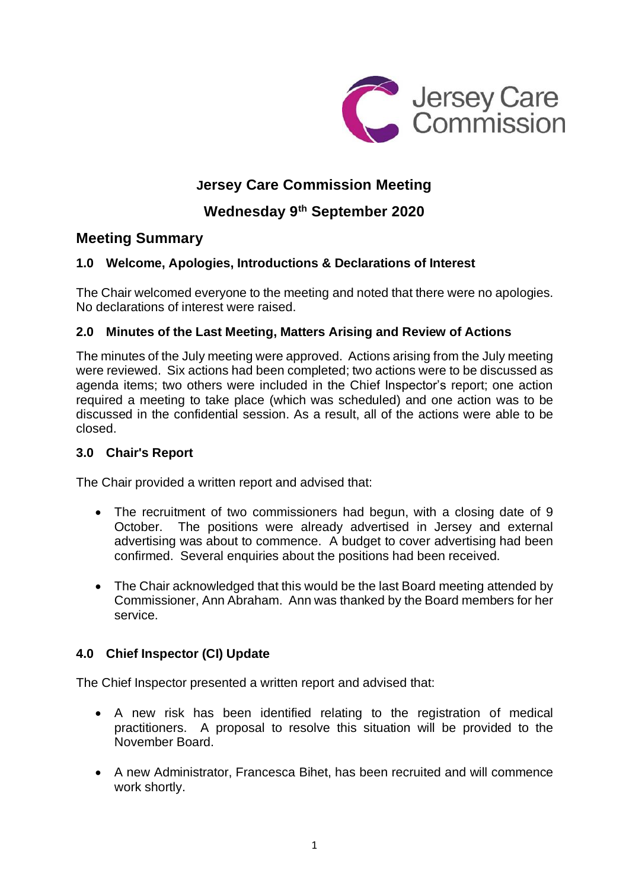

## **Jersey Care Commission Meeting**

# **Wednesday 9 th September 2020**

## **Meeting Summary**

## **1.0 Welcome, Apologies, Introductions & Declarations of Interest**

The Chair welcomed everyone to the meeting and noted that there were no apologies. No declarations of interest were raised.

## **2.0 Minutes of the Last Meeting, Matters Arising and Review of Actions**

The minutes of the July meeting were approved. Actions arising from the July meeting were reviewed. Six actions had been completed; two actions were to be discussed as agenda items; two others were included in the Chief Inspector's report; one action required a meeting to take place (which was scheduled) and one action was to be discussed in the confidential session. As a result, all of the actions were able to be closed.

#### **3.0 Chair's Report**

The Chair provided a written report and advised that:

- The recruitment of two commissioners had begun, with a closing date of 9 October. The positions were already advertised in Jersey and external advertising was about to commence. A budget to cover advertising had been confirmed. Several enquiries about the positions had been received.
- The Chair acknowledged that this would be the last Board meeting attended by Commissioner, Ann Abraham. Ann was thanked by the Board members for her service.

#### **4.0 Chief Inspector (CI) Update**

The Chief Inspector presented a written report and advised that:

- A new risk has been identified relating to the registration of medical practitioners. A proposal to resolve this situation will be provided to the November Board.
- A new Administrator, Francesca Bihet, has been recruited and will commence work shortly.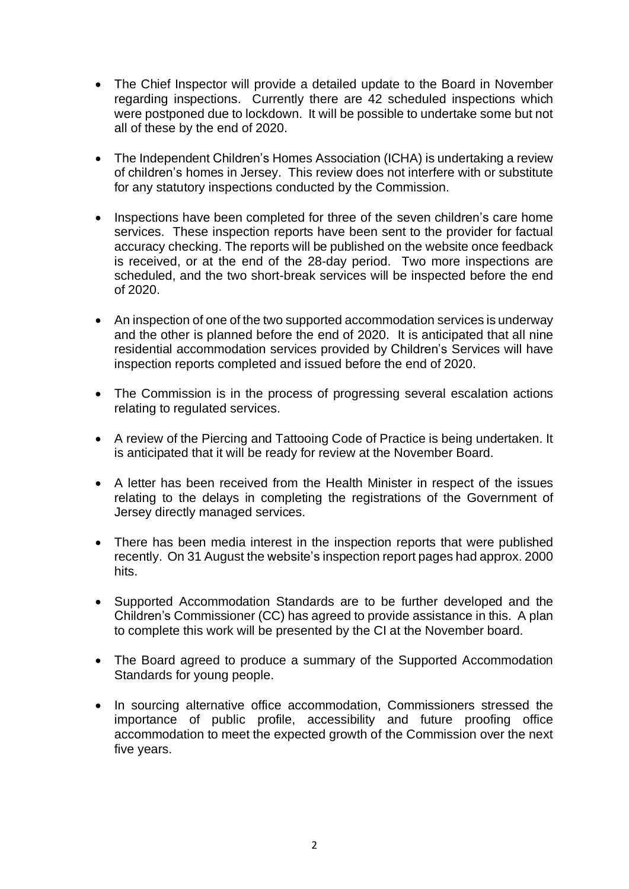- The Chief Inspector will provide a detailed update to the Board in November regarding inspections. Currently there are 42 scheduled inspections which were postponed due to lockdown. It will be possible to undertake some but not all of these by the end of 2020.
- The Independent Children's Homes Association (ICHA) is undertaking a review of children's homes in Jersey. This review does not interfere with or substitute for any statutory inspections conducted by the Commission.
- Inspections have been completed for three of the seven children's care home services. These inspection reports have been sent to the provider for factual accuracy checking. The reports will be published on the website once feedback is received, or at the end of the 28-day period. Two more inspections are scheduled, and the two short-break services will be inspected before the end of 2020.
- An inspection of one of the two supported accommodation services is underway and the other is planned before the end of 2020. It is anticipated that all nine residential accommodation services provided by Children's Services will have inspection reports completed and issued before the end of 2020.
- The Commission is in the process of progressing several escalation actions relating to regulated services.
- A review of the Piercing and Tattooing Code of Practice is being undertaken. It is anticipated that it will be ready for review at the November Board.
- A letter has been received from the Health Minister in respect of the issues relating to the delays in completing the registrations of the Government of Jersey directly managed services.
- There has been media interest in the inspection reports that were published recently. On 31 August the website's inspection report pages had approx. 2000 hits.
- Supported Accommodation Standards are to be further developed and the Children's Commissioner (CC) has agreed to provide assistance in this. A plan to complete this work will be presented by the CI at the November board.
- The Board agreed to produce a summary of the Supported Accommodation Standards for young people.
- In sourcing alternative office accommodation, Commissioners stressed the importance of public profile, accessibility and future proofing office accommodation to meet the expected growth of the Commission over the next five years.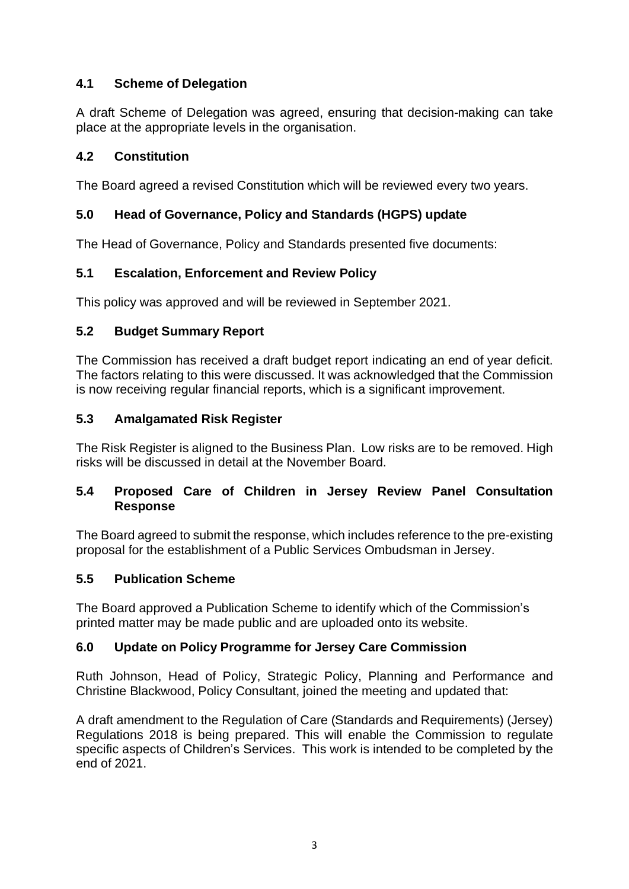## **4.1 Scheme of Delegation**

A draft Scheme of Delegation was agreed, ensuring that decision-making can take place at the appropriate levels in the organisation.

#### **4.2 Constitution**

The Board agreed a revised Constitution which will be reviewed every two years.

## **5.0 Head of Governance, Policy and Standards (HGPS) update**

The Head of Governance, Policy and Standards presented five documents:

## **5.1 Escalation, Enforcement and Review Policy**

This policy was approved and will be reviewed in September 2021.

## **5.2 Budget Summary Report**

The Commission has received a draft budget report indicating an end of year deficit. The factors relating to this were discussed. It was acknowledged that the Commission is now receiving regular financial reports, which is a significant improvement.

## **5.3 Amalgamated Risk Register**

The Risk Register is aligned to the Business Plan. Low risks are to be removed. High risks will be discussed in detail at the November Board.

#### **5.4 Proposed Care of Children in Jersey Review Panel Consultation Response**

The Board agreed to submit the response, which includes reference to the pre-existing proposal for the establishment of a Public Services Ombudsman in Jersey.

#### **5.5 Publication Scheme**

The Board approved a Publication Scheme to identify which of the Commission's printed matter may be made public and are uploaded onto its website.

## **6.0 Update on Policy Programme for Jersey Care Commission**

Ruth Johnson, Head of Policy, Strategic Policy, Planning and Performance and Christine Blackwood, Policy Consultant, joined the meeting and updated that:

A draft amendment to the Regulation of Care (Standards and Requirements) (Jersey) Regulations 2018 is being prepared. This will enable the Commission to regulate specific aspects of Children's Services. This work is intended to be completed by the end of 2021.